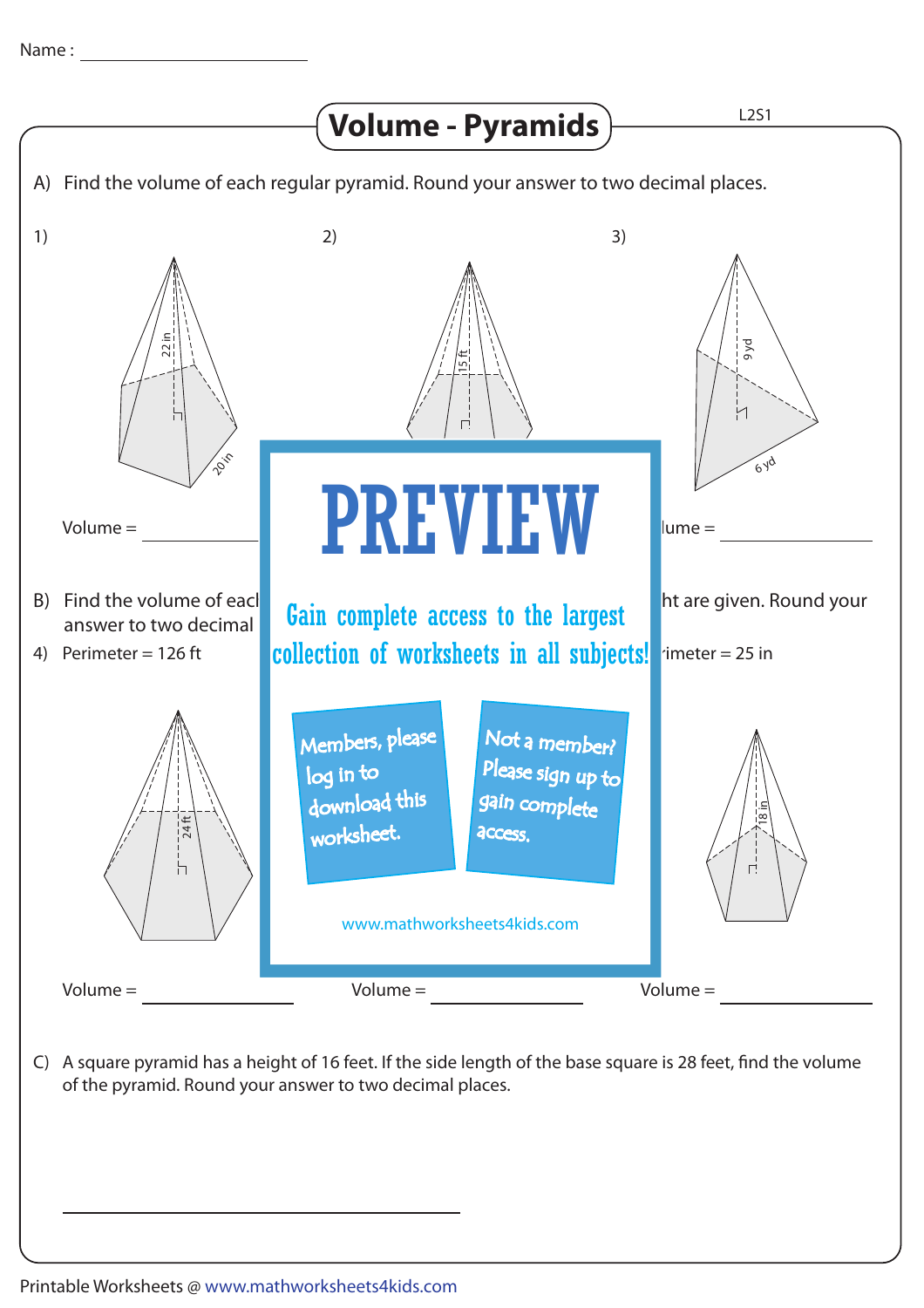